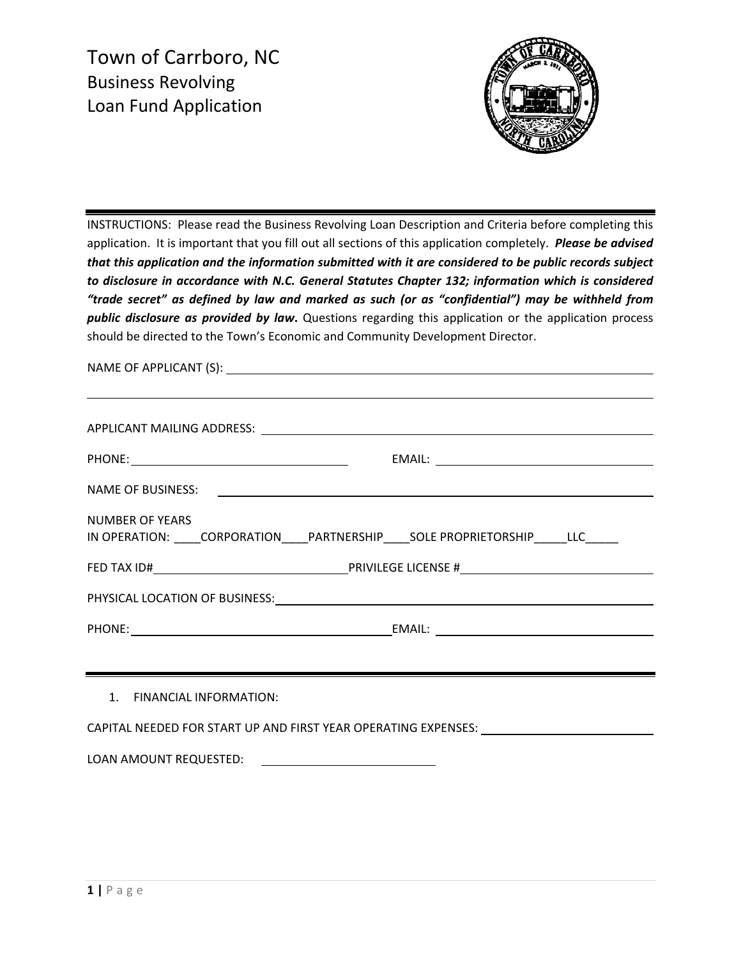Town of Carrboro, NC Business Revolving Loan Fund Application



INSTRUCTIONS: Please read the Business Revolving Loan Description and Criteria before completing this application. It is important that you fill out all sections of this application completely. *Please be advised that this application and the information submitted with it are considered to be public records subject to disclosure in accordance with N.C. General Statutes Chapter 132; information which is considered "trade secret" as defined by law and marked as such (or as "confidential") may be withheld from public disclosure as provided by law***.** Questions regarding this application or the application process should be directed to the Town's Economic and Community Development Director.

|                                                                                                         | ,我们也不会有什么。""我们的人,我们也不会有什么?""我们的人,我们也不会有什么?""我们的人,我们也不会有什么?""我们的人,我们也不会有什么?""我们的人 |  |
|---------------------------------------------------------------------------------------------------------|----------------------------------------------------------------------------------|--|
|                                                                                                         |                                                                                  |  |
|                                                                                                         |                                                                                  |  |
|                                                                                                         |                                                                                  |  |
| NUMBER OF YEARS<br>IN OPERATION: ____CORPORATION_____PARTNERSHIP_____SOLE PROPRIETORSHIP______LLC______ |                                                                                  |  |
|                                                                                                         |                                                                                  |  |
|                                                                                                         |                                                                                  |  |
|                                                                                                         |                                                                                  |  |
|                                                                                                         |                                                                                  |  |
| 1. FINANCIAL INFORMATION:                                                                               |                                                                                  |  |
| CAPITAL NEEDED FOR START UP AND FIRST YEAR OPERATING EXPENSES: __________________                       |                                                                                  |  |
|                                                                                                         |                                                                                  |  |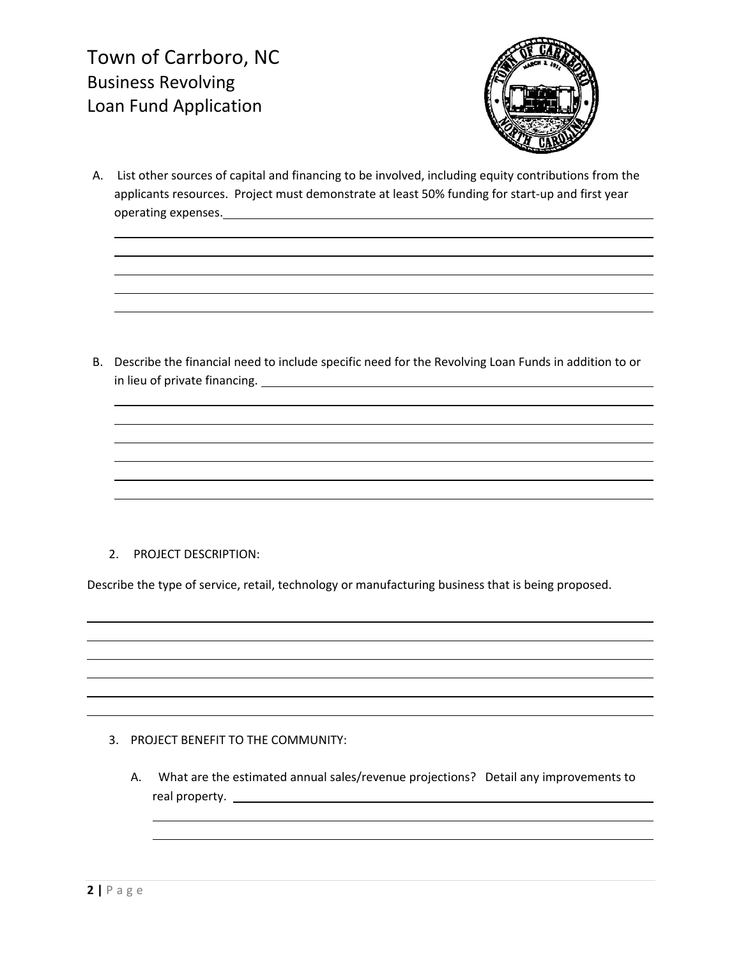Town of Carrboro, NC Business Revolving Loan Fund Application



A. List other sources of capital and financing to be involved, including equity contributions from the applicants resources. Project must demonstrate at least 50% funding for start‐up and first year operating expenses.

<u> 1980 - Andrea Santa Alemania, amerikana amerikana amerikana amerikana amerikana amerikana amerikana amerikan</u>

B. Describe the financial need to include specific need for the Revolving Loan Funds in addition to or in lieu of private financing.

<u> 1980 - Johann Stoff, deutscher Stoffen und der Stoffen und der Stoffen und der Stoffen und der Stoffen und d</u>

## 2. PROJECT DESCRIPTION:

Describe the type of service, retail, technology or manufacturing business that is being proposed.

<u> 1980 - Johann Stoff, die erste besteht der Stoffens und die Stoffens und die Stoffens und die Stoffens und die</u> <u> 1980 - Johann Stoff, die erste besteht der Stoffens und die Stoffens und die Stoffens und die Stoffens und die</u>

## 3. PROJECT BENEFIT TO THE COMMUNITY:

A. What are the estimated annual sales/revenue projections? Detail any improvements to real property.

<u> 1980 - Johann Barbara, martxa amerikan bashkar (</u>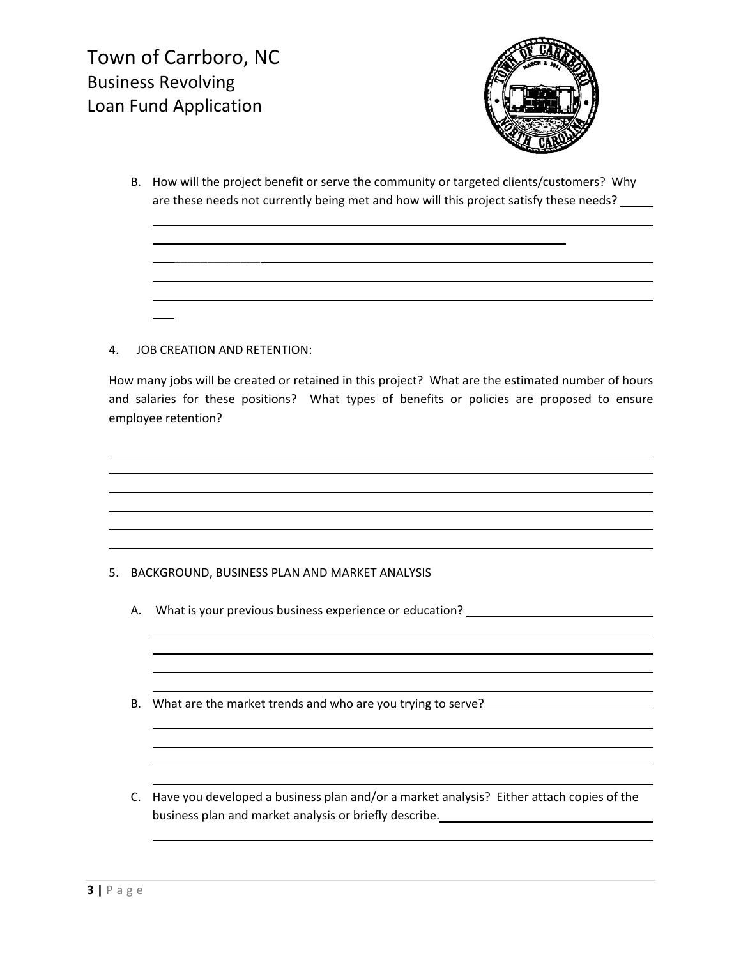

B. How will the project benefit or serve the community or targeted clients/customers? Why are these needs not currently being met and how will this project satisfy these needs?

<u> 1980 - Johann Barbara, martxa amerikan bashkar (</u>

\_\_\_\_\_\_\_\_\_\_\_\_\_

<u> 1989 - Johann Stoff, deutscher Stoffen und der Stoffen und der Stoffen und der Stoffen und der Stoffen und de</u>

## 4. JOB CREATION AND RETENTION:

How many jobs will be created or retained in this project? What are the estimated number of hours and salaries for these positions? What types of benefits or policies are proposed to ensure employee retention?

<u> 1980 - Johann Stoff, deutscher Stoffen und der Stoffen und der Stoffen und der Stoffen und der Stoffen und d</u> <u> 1989 - Johann Stoff, deutscher Stoffen und der Stoffen und der Stoffen und der Stoffen und der Stoffen und d</u>

## 5. BACKGROUND, BUSINESS PLAN AND MARKET ANALYSIS

- A. What is your previous business experience or education? \_\_\_\_\_\_\_\_\_\_\_\_\_\_\_\_\_\_\_\_\_
- B. What are the market trends and who are you trying to serve?
- C. Have you developed a business plan and/or a market analysis? Either attach copies of the business plan and market analysis or briefly describe.

<u> 1989 - Johann Stoff, deutscher Stoffen und der Stoffen und der Stoffen und der Stoffen und der Stoffen und d</u>

<u> 1989 - Johann Stoff, deutscher Stoffen und der Stoffen und der Stoffen und der Stoffen und der Stoffen und d</u>

<u> 1989 - Johann Stoff, deutscher Stoffen und der Stoffen und der Stoffen und der Stoffen und der Stoffen und d</u>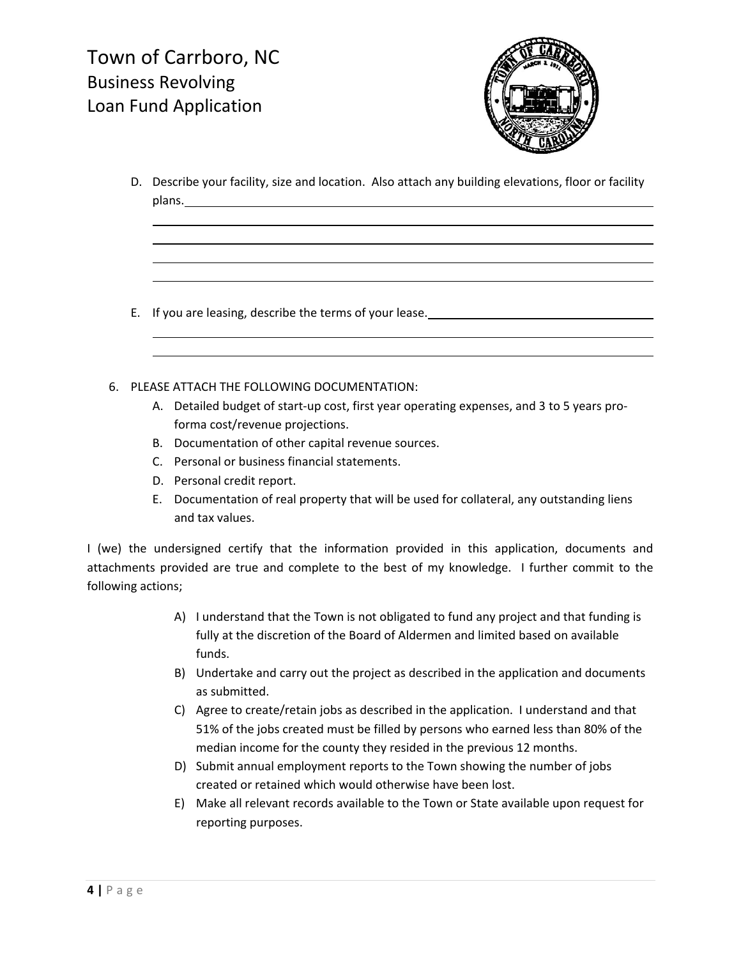

D. Describe your facility, size and location. Also attach any building elevations, floor or facility plans.

<u> 1980 - Johann Barbara, martxa amerikan bashkar (</u>

<u> 1980 - Johann Barbara, martxa amerikan bashkar (</u>

- E. If you are leasing, describe the terms of your lease.
- 6. PLEASE ATTACH THE FOLLOWING DOCUMENTATION:
	- A. Detailed budget of start-up cost, first year operating expenses, and 3 to 5 years proforma cost/revenue projections.
	- B. Documentation of other capital revenue sources.
	- C. Personal or business financial statements.
	- D. Personal credit report.
	- E. Documentation of real property that will be used for collateral, any outstanding liens and tax values.

I (we) the undersigned certify that the information provided in this application, documents and attachments provided are true and complete to the best of my knowledge. I further commit to the following actions;

- A) I understand that the Town is not obligated to fund any project and that funding is fully at the discretion of the Board of Aldermen and limited based on available funds.
- B) Undertake and carry out the project as described in the application and documents as submitted.
- C) Agree to create/retain jobs as described in the application. I understand and that 51% of the jobs created must be filled by persons who earned less than 80% of the median income for the county they resided in the previous 12 months.
- D) Submit annual employment reports to the Town showing the number of jobs created or retained which would otherwise have been lost.
- E) Make all relevant records available to the Town or State available upon request for reporting purposes.